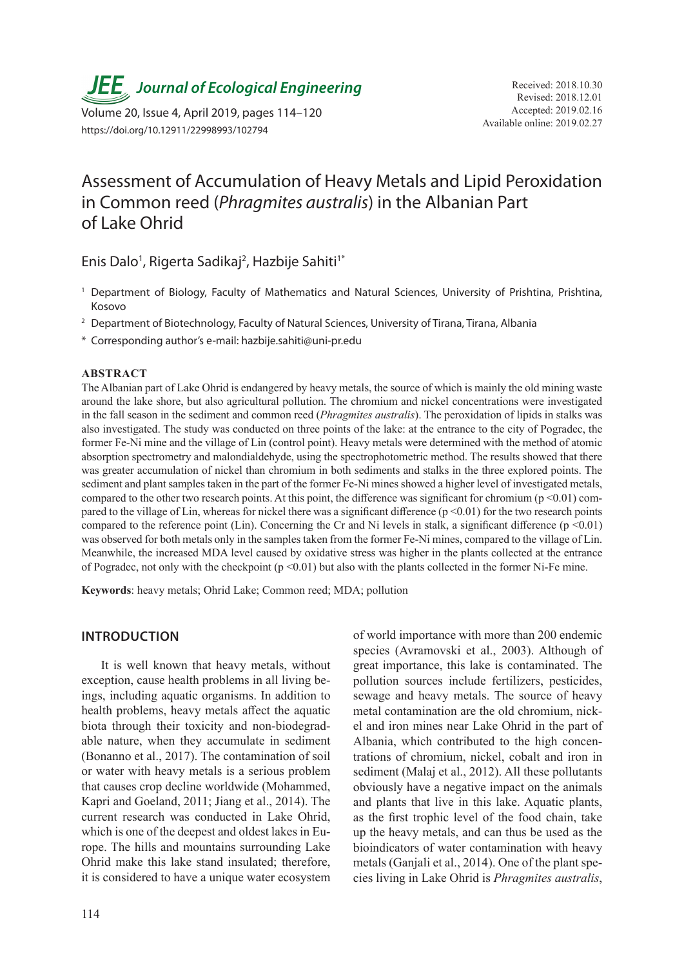*JEE* Journal of Ecological Engineering Received: 2018.10.30

Available online: 2019.02.27 Volume 20, Issue 4, April 2019, pages 114–120 https://doi.org/10.12911/22998993/102794

# Assessment of Accumulation of Heavy Metals and Lipid Peroxidation in Common reed (*Phragmites australis*) in the Albanian Part of Lake Ohrid

Enis Dalo<sup>1</sup>, Rigerta Sadikaj<sup>2</sup>, Hazbije Sahiti<sup>1\*</sup>

- <sup>1</sup> Department of Biology, Faculty of Mathematics and Natural Sciences, University of Prishtina, Prishtina, Kosovo
- <sup>2</sup> Department of Biotechnology, Faculty of Natural Sciences, University of Tirana, Tirana, Albania
- \* Corresponding author's e-mail: hazbije.sahiti@uni-pr.edu

#### **ABSTRACT**

The Albanian part of Lake Ohrid is endangered by heavy metals, the source of which is mainly the old mining waste around the lake shore, but also agricultural pollution. The chromium and nickel concentrations were investigated in the fall season in the sediment and common reed (*Phragmites australis*). The peroxidation of lipids in stalks was also investigated. The study was conducted on three points of the lake: at the entrance to the city of Pogradec, the former Fe-Ni mine and the village of Lin (control point). Heavy metals were determined with the method of atomic absorption spectrometry and malondialdehyde, using the spectrophotometric method. The results showed that there was greater accumulation of nickel than chromium in both sediments and stalks in the three explored points. The sediment and plant samples taken in the part of the former Fe-Ni mines showed a higher level of investigated metals, compared to the other two research points. At this point, the difference was significant for chromium ( $p \le 0.01$ ) compared to the village of Lin, whereas for nickel there was a significant difference  $(p \le 0.01)$  for the two research points compared to the reference point (Lin). Concerning the Cr and Ni levels in stalk, a significant difference ( $p \le 0.01$ ) was observed for both metals only in the samples taken from the former Fe-Ni mines, compared to the village of Lin. Meanwhile, the increased MDA level caused by oxidative stress was higher in the plants collected at the entrance of Pogradec, not only with the checkpoint  $(p \le 0.01)$  but also with the plants collected in the former Ni-Fe mine.

**Keywords**: heavy metals; Ohrid Lake; Common reed; MDA; pollution

# **INTRODUCTION**

It is well known that heavy metals, without exception, cause health problems in all living beings, including aquatic organisms. In addition to health problems, heavy metals affect the aquatic biota through their toxicity and non-biodegradable nature, when they accumulate in sediment (Bonanno et al., 2017). The contamination of soil or water with heavy metals is a serious problem that causes crop decline worldwide (Mohammed, Kapri and Goeland, 2011; Jiang et al., 2014). The current research was conducted in Lake Ohrid, which is one of the deepest and oldest lakes in Europe. The hills and mountains surrounding Lake Ohrid make this lake stand insulated; therefore, it is considered to have a unique water ecosystem of world importance with more than 200 endemic species (Avramovski et al., 2003). Although of great importance, this lake is contaminated. The pollution sources include fertilizers, pesticides, sewage and heavy metals. The source of heavy metal contamination are the old chromium, nickel and iron mines near Lake Ohrid in the part of Albania, which contributed to the high concentrations of chromium, nickel, cobalt and iron in sediment (Malaj et al., 2012). All these pollutants obviously have a negative impact on the animals and plants that live in this lake. Aquatic plants, as the first trophic level of the food chain, take up the heavy metals, and can thus be used as the bioindicators of water contamination with heavy metals (Ganjali et al., 2014). One of the plant species living in Lake Ohrid is *Phragmites australis*,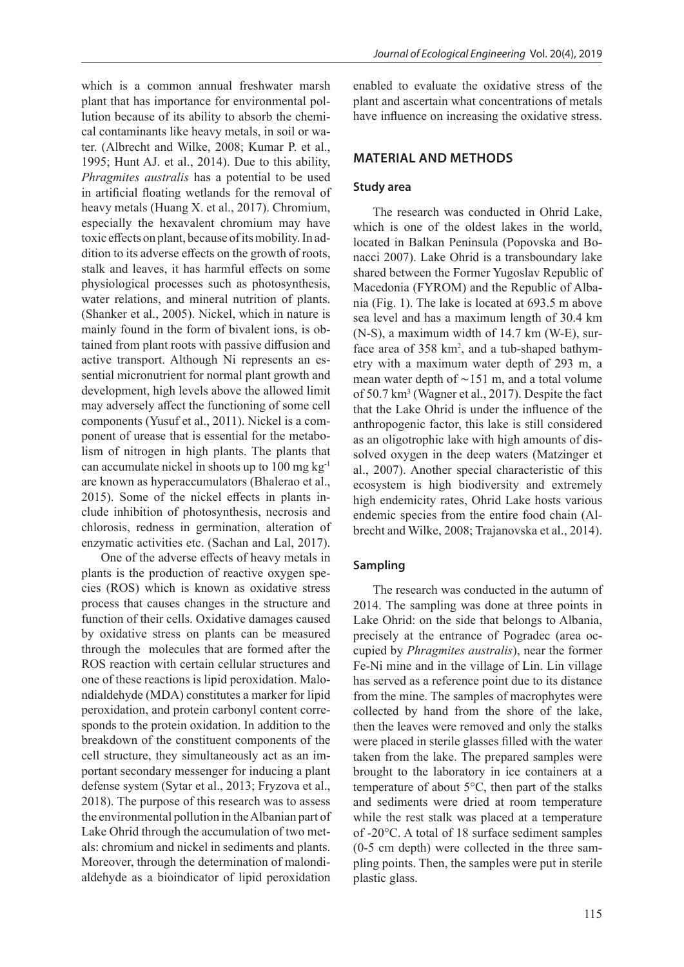which is a common annual freshwater marsh plant that has importance for environmental pollution because of its ability to absorb the chemical contaminants like heavy metals, in soil or water. (Albrecht and Wilke, 2008; Kumar P. et al., 1995; Hunt AJ. et al., 2014). Due to this ability, *Phragmites australis* has a potential to be used in artificial floating wetlands for the removal of heavy metals (Huang X. et al., 2017). Chromium, especially the hexavalent chromium may have toxic effects on plant, because of its mobility. In addition to its adverse effects on the growth of roots, stalk and leaves, it has harmful effects on some physiological processes such as photosynthesis, water relations, and mineral nutrition of plants. (Shanker et al., 2005). Nickel, which in nature is mainly found in the form of bivalent ions, is obtained from plant roots with passive diffusion and active transport. Although Ni represents an essential micronutrient for normal plant growth and development, high levels above the allowed limit may adversely affect the functioning of some cell components (Yusuf et al., 2011). Nickel is a component of urease that is essential for the metabolism of nitrogen in high plants. The plants that can accumulate nickel in shoots up to 100 mg kg-1 are known as hyperaccumulators (Bhalerao et al., 2015). Some of the nickel effects in plants include inhibition of photosynthesis, necrosis and chlorosis, redness in germination, alteration of enzymatic activities etc. (Sachan and Lal, 2017).

One of the adverse effects of heavy metals in plants is the production of reactive oxygen species (ROS) which is known as oxidative stress process that causes changes in the structure and function of their cells. Oxidative damages caused by oxidative stress on plants can be measured through the molecules that are formed after the ROS reaction with certain cellular structures and one of these reactions is lipid peroxidation. Malondialdehyde (MDA) constitutes a marker for lipid peroxidation, and protein carbonyl content corresponds to the protein oxidation. In addition to the breakdown of the constituent components of the cell structure, they simultaneously act as an important secondary messenger for inducing a plant defense system (Sytar et al., 2013; Fryzova et al., 2018). The purpose of this research was to assess the environmental pollution in the Albanian part of Lake Ohrid through the accumulation of two metals: chromium and nickel in sediments and plants. Moreover, through the determination of malondialdehyde as a bioindicator of lipid peroxidation

enabled to evaluate the oxidative stress of the plant and ascertain what concentrations of metals have influence on increasing the oxidative stress.

#### **MATERIAL AND METHODS**

#### **Study area**

The research was conducted in Ohrid Lake, which is one of the oldest lakes in the world, located in Balkan Peninsula (Popovska and Bonacci 2007). Lake Ohrid is a transboundary lake shared between the Former Yugoslav Republic of Macedonia (FYROM) and the Republic of Albania (Fig. 1). The lake is located at 693.5 m above sea level and has a maximum length of 30.4 km (N-S), a maximum width of 14.7 km (W-E), surface area of 358 km<sup>2</sup>, and a tub-shaped bathymetry with a maximum water depth of 293 m, a mean water depth of ∼151 m, and a total volume of 50.7 km<sup>3</sup> (Wagner et al., 2017). Despite the fact that the Lake Ohrid is under the influence of the anthropogenic factor, this lake is still considered as an oligotrophic lake with high amounts of dissolved oxygen in the deep waters (Matzinger et al., 2007). Another special characteristic of this ecosystem is high biodiversity and extremely high endemicity rates, Ohrid Lake hosts various endemic species from the entire food chain (Albrecht and Wilke, 2008; Trajanovska et al., 2014).

#### **Sampling**

The research was conducted in the autumn of 2014. The sampling was done at three points in Lake Ohrid: on the side that belongs to Albania, precisely at the entrance of Pogradec (area occupied by *Phragmites australis*), near the former Fe-Ni mine and in the village of Lin. Lin village has served as a reference point due to its distance from the mine. The samples of macrophytes were collected by hand from the shore of the lake, then the leaves were removed and only the stalks were placed in sterile glasses filled with the water taken from the lake. The prepared samples were brought to the laboratory in ice containers at a temperature of about 5°C, then part of the stalks and sediments were dried at room temperature while the rest stalk was placed at a temperature of -20°C. A total of 18 surface sediment samples (0-5 cm depth) were collected in the three sampling points. Then, the samples were put in sterile plastic glass.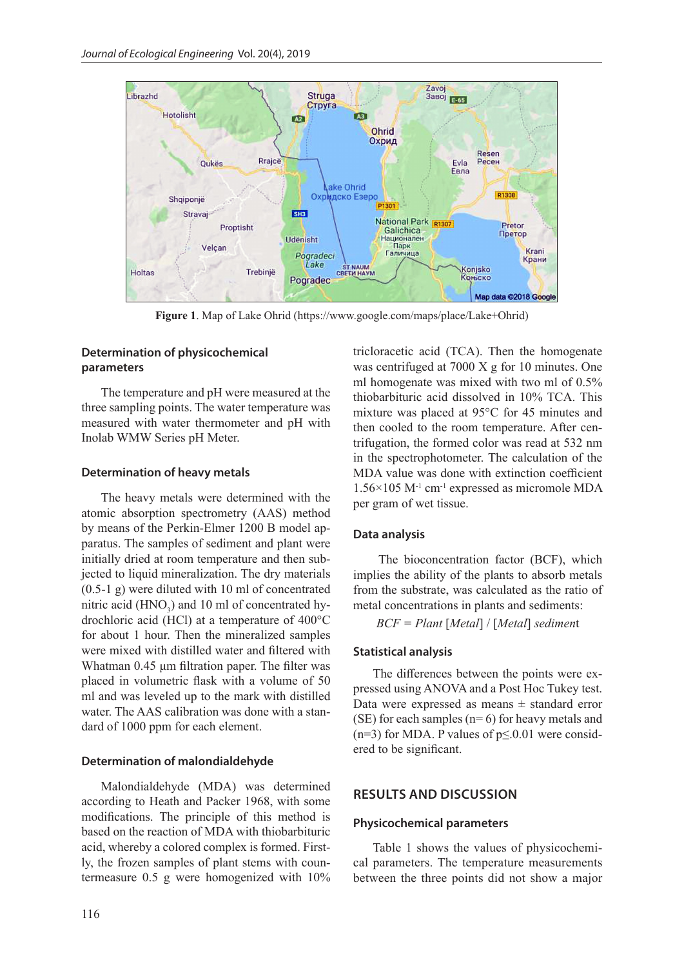

**Figure 1**. Map of Lake Ohrid (https://www.google.com/maps/place/Lake+Ohrid)

# **Determination of physicochemical parameters**

The temperature and pH were measured at the three sampling points. The water temperature was measured with water thermometer and pH with Inolab WMW Series pH Meter.

## **Determination of heavy metals**

The heavy metals were determined with the atomic absorption spectrometry (AAS) method by means of the Perkin-Elmer 1200 B model apparatus. The samples of sediment and plant were initially dried at room temperature and then subjected to liquid mineralization. The dry materials (0.5-1 g) were diluted with 10 ml of concentrated nitric acid  $(HNO<sub>3</sub>)$  and 10 ml of concentrated hydrochloric acid (HCl) at a temperature of 400°C for about 1 hour. Then the mineralized samples were mixed with distilled water and filtered with Whatman 0.45 μm filtration paper. The filter was placed in volumetric flask with a volume of 50 ml and was leveled up to the mark with distilled water. The AAS calibration was done with a standard of 1000 ppm for each element.

## **Determination of malondialdehyde**

Malondialdehyde (MDA) was determined according to Heath and Packer 1968, with some modifications. The principle of this method is based on the reaction of MDA with thiobarbituric acid, whereby a colored complex is formed. Firstly, the frozen samples of plant stems with countermeasure 0.5 g were homogenized with 10% tricloracetic acid (TCA). Then the homogenate was centrifuged at 7000 X g for 10 minutes. One ml homogenate was mixed with two ml of 0.5% thiobarbituric acid dissolved in 10% TCA. This mixture was placed at 95°C for 45 minutes and then cooled to the room temperature. After centrifugation, the formed color was read at 532 nm in the spectrophotometer. The calculation of the MDA value was done with extinction coefficient  $1.56\times105$  M<sup>-1</sup> cm<sup>-1</sup> expressed as micromole MDA per gram of wet tissue.

#### **Data analysis**

 The bioconcentration factor (BCF), which implies the ability of the plants to absorb metals from the substrate, was calculated as the ratio of metal concentrations in plants and sediments:

*BCF = Plant* [*Metal*] / [*Metal*] *sedimen*t

## **Statistical analysis**

The differences between the points were expressed using ANOVA and a Post Hoc Tukey test. Data were expressed as means  $\pm$  standard error (SE) for each samples  $(n=6)$  for heavy metals and (n=3) for MDA. P values of  $p \le 0.01$  were considered to be significant.

## **RESULTS AND DISCUSSION**

#### **Physicochemical parameters**

Table 1 shows the values of physicochemical parameters. The temperature measurements between the three points did not show a major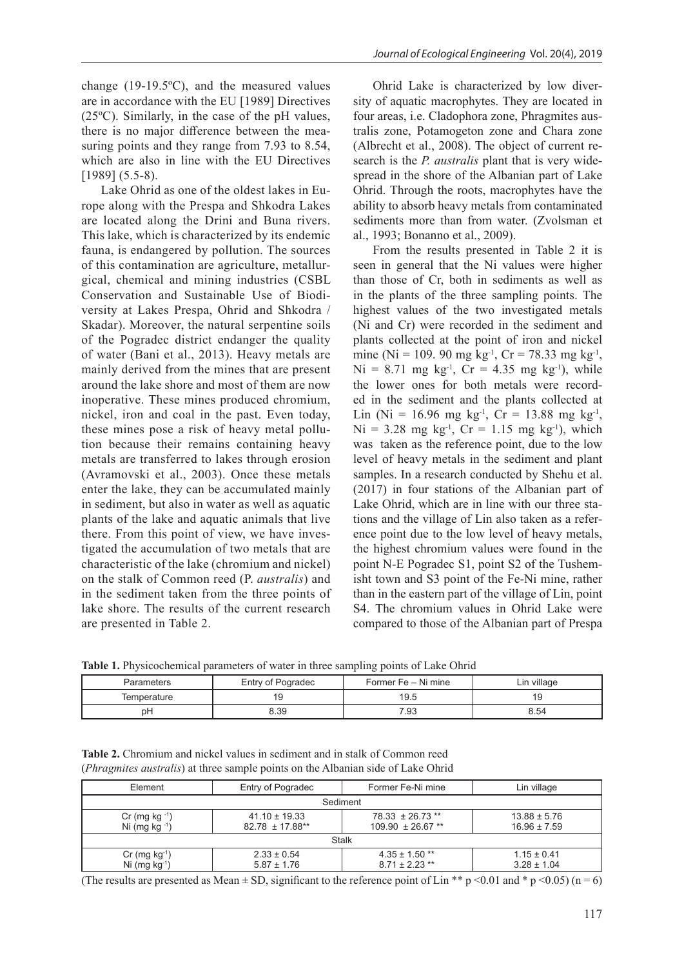change (19-19.5ºC), and the measured values are in accordance with the EU [1989] Directives (25ºC). Similarly, in the case of the pH values, there is no major difference between the measuring points and they range from 7.93 to 8.54, which are also in line with the EU Directives [1989] (5.5-8).

Lake Ohrid as one of the oldest lakes in Europe along with the Prespa and Shkodra Lakes are located along the Drini and Buna rivers. This lake, which is characterized by its endemic fauna, is endangered by pollution. The sources of this contamination are agriculture, metallurgical, chemical and mining industries (CSBL Conservation and Sustainable Use of Biodiversity at Lakes Prespa, Ohrid and Shkodra / Skadar). Moreover, the natural serpentine soils of the Pogradec district endanger the quality of water (Bani et al., 2013). Heavy metals are mainly derived from the mines that are present around the lake shore and most of them are now inoperative. These mines produced chromium, nickel, iron and coal in the past. Even today, these mines pose a risk of heavy metal pollution because their remains containing heavy metals are transferred to lakes through erosion (Avramovski et al., 2003). Once these metals enter the lake, they can be accumulated mainly in sediment, but also in water as well as aquatic plants of the lake and aquatic animals that live there. From this point of view, we have investigated the accumulation of two metals that are characteristic of the lake (chromium and nickel) on the stalk of Common reed (P. *australis*) and in the sediment taken from the three points of lake shore. The results of the current research are presented in Table 2.

Ohrid Lake is characterized by low diversity of aquatic macrophytes. They are located in four areas, i.e. Cladophora zone, Phragmites australis zone, Potamogeton zone and Chara zone (Albrecht et al., 2008). The object of current research is the *P. australis* plant that is very widespread in the shore of the Albanian part of Lake Ohrid. Through the roots, macrophytes have the ability to absorb heavy metals from contaminated sediments more than from water. (Zvolsman et al., 1993; Bonanno et al., 2009).

From the results presented in Table 2 it is seen in general that the Ni values were higher than those of Cr, both in sediments as well as in the plants of the three sampling points. The highest values of the two investigated metals (Ni and Cr) were recorded in the sediment and plants collected at the point of iron and nickel mine (Ni = 109. 90 mg kg<sup>-1</sup>, Cr = 78.33 mg kg<sup>-1</sup>,  $Ni = 8.71$  mg kg<sup>-1</sup>,  $Cr = 4.35$  mg kg<sup>-1</sup>), while the lower ones for both metals were recorded in the sediment and the plants collected at Lin (Ni = 16.96 mg kg<sup>-1</sup>, Cr = 13.88 mg kg<sup>-1</sup>,  $Ni = 3.28$  mg kg<sup>-1</sup>,  $Cr = 1.15$  mg kg<sup>-1</sup>), which was taken as the reference point, due to the low level of heavy metals in the sediment and plant samples. In a research conducted by Shehu et al. (2017) in four stations of the Albanian part of Lake Ohrid, which are in line with our three stations and the village of Lin also taken as a reference point due to the low level of heavy metals, the highest chromium values were found in the point N-E Pogradec S1, point S2 of the Tushemisht town and S3 point of the Fe-Ni mine, rather than in the eastern part of the village of Lin, point S4. The chromium values in Ohrid Lake were compared to those of the Albanian part of Prespa

**Table 1.** Physicochemical parameters of water in three sampling points of Lake Ohrid

|             |                   | ັ                   |             |
|-------------|-------------------|---------------------|-------------|
| Parameters  | Entry of Pogradec | Former Fe – Ni mine | ∟in village |
| Temperature | 19                | 19.5                | Y           |
| рH          | 8.39              | 7.93                | 8.54        |

| <b>Table 2.</b> Chromium and nickel values in sediment and in stalk of Common reed |  |
|------------------------------------------------------------------------------------|--|
| (Phragmites australis) at three sample points on the Albanian side of Lake Ohrid   |  |

| Element                                      | Entry of Pogradec                    | Former Fe-Ni mine                         | Lin village                          |
|----------------------------------------------|--------------------------------------|-------------------------------------------|--------------------------------------|
| Sediment                                     |                                      |                                           |                                      |
| $Cr$ (mg kg $^{-1}$ )<br>Ni (mg kg $^{-1}$ ) | $41.10 \pm 19.33$<br>82.78 ± 17.88** | 78.33 ± 26.73 **<br>$109.90 \pm 26.67$ ** | $13.88 \pm 5.76$<br>$16.96 \pm 7.59$ |
| <b>Stalk</b>                                 |                                      |                                           |                                      |
| $Cr$ (mg $kg^{-1}$ )<br>Ni $(mg kg-1)$       | $2.33 \pm 0.54$<br>$5.87 \pm 1.76$   | $4.35 \pm 1.50$ **<br>$8.71 \pm 2.23$ **  | $1.15 \pm 0.41$<br>$3.28 \pm 1.04$   |

(The results are presented as Mean  $\pm$  SD, significant to the reference point of Lin \*\* p <0.01 and \* p <0.05) (n = 6)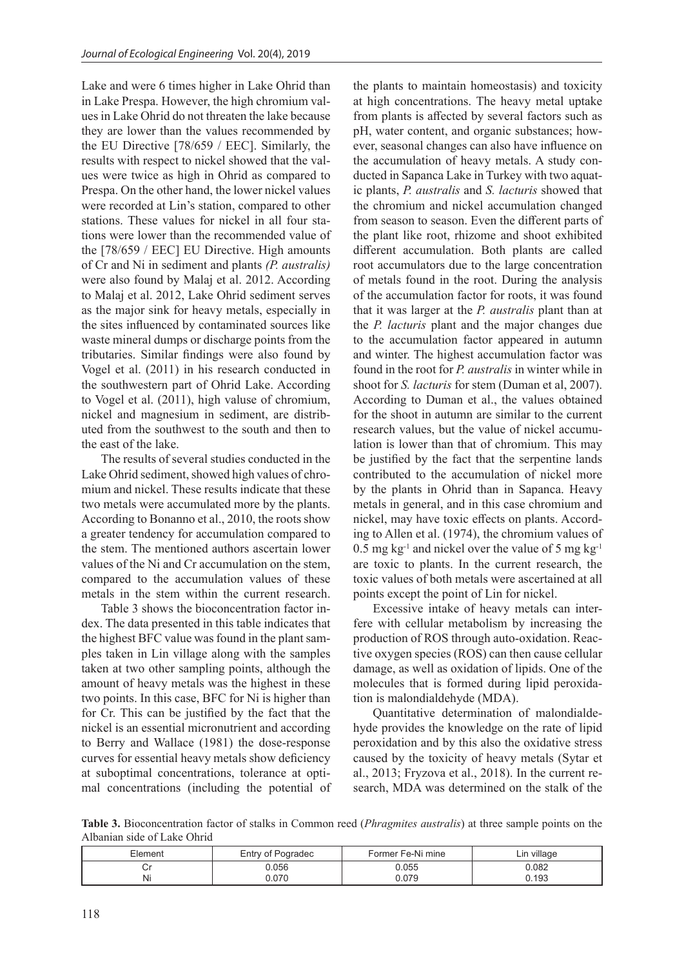Lake and were 6 times higher in Lake Ohrid than in Lake Prespa. However, the high chromium values in Lake Ohrid do not threaten the lake because they are lower than the values recommended by the EU Directive [78/659 / EEC]. Similarly, the results with respect to nickel showed that the values were twice as high in Ohrid as compared to Prespa. On the other hand, the lower nickel values were recorded at Lin's station, compared to other stations. These values for nickel in all four stations were lower than the recommended value of the [78/659 / EEC] EU Directive. High amounts of Cr and Ni in sediment and plants *(P. australis)* were also found by Malaj et al. 2012. According to Malaj et al. 2012, Lake Ohrid sediment serves as the major sink for heavy metals, especially in the sites influenced by contaminated sources like waste mineral dumps or discharge points from the tributaries. Similar findings were also found by Vogel et al. (2011) in his research conducted in the southwestern part of Ohrid Lake. According to Vogel et al. (2011), high valuse of chromium, nickel and magnesium in sediment, are distributed from the southwest to the south and then to the east of the lake.

The results of several studies conducted in the Lake Ohrid sediment, showed high values of chromium and nickel. These results indicate that these two metals were accumulated more by the plants. According to Bonanno et al., 2010, the roots show a greater tendency for accumulation compared to the stem. The mentioned authors ascertain lower values of the Ni and Cr accumulation on the stem, compared to the accumulation values of these metals in the stem within the current research.

Table 3 shows the bioconcentration factor index. The data presented in this table indicates that the highest BFC value was found in the plant samples taken in Lin village along with the samples taken at two other sampling points, although the amount of heavy metals was the highest in these two points. In this case, BFC for Ni is higher than for Cr. This can be justified by the fact that the nickel is an essential micronutrient and according to Berry and Wallace (1981) the dose-response curves for essential heavy metals show deficiency at suboptimal concentrations, tolerance at optimal concentrations (including the potential of the plants to maintain homeostasis) and toxicity at high concentrations. The heavy metal uptake from plants is affected by several factors such as pH, water content, and organic substances; however, seasonal changes can also have influence on the accumulation of heavy metals. A study conducted in Sapanca Lake in Turkey with two aquatic plants, *P. australis* and *S. lacturis* showed that the chromium and nickel accumulation changed from season to season. Even the different parts of the plant like root, rhizome and shoot exhibited different accumulation. Both plants are called root accumulators due to the large concentration of metals found in the root. During the analysis of the accumulation factor for roots, it was found that it was larger at the *P. australis* plant than at the *P. lacturis* plant and the major changes due to the accumulation factor appeared in autumn and winter. The highest accumulation factor was found in the root for *P. australis* in winter while in shoot for *S. lacturis* for stem (Duman et al, 2007). According to Duman et al., the values obtained for the shoot in autumn are similar to the current research values, but the value of nickel accumulation is lower than that of chromium. This may be justified by the fact that the serpentine lands contributed to the accumulation of nickel more by the plants in Ohrid than in Sapanca. Heavy metals in general, and in this case chromium and nickel, may have toxic effects on plants. According to Allen et al. (1974), the chromium values of  $0.5$  mg kg<sup>-1</sup> and nickel over the value of 5 mg kg<sup>-1</sup> are toxic to plants. In the current research, the toxic values of both metals were ascertained at all points except the point of Lin for nickel.

Excessive intake of heavy metals can interfere with cellular metabolism by increasing the production of ROS through auto-oxidation. Reactive oxygen species (ROS) can then cause cellular damage, as well as oxidation of lipids. One of the molecules that is formed during lipid peroxidation is malondialdehyde (MDA).

Quantitative determination of malondialdehyde provides the knowledge on the rate of lipid peroxidation and by this also the oxidative stress caused by the toxicity of heavy metals (Sytar et al., 2013; Fryzova et al., 2018). In the current research, MDA was determined on the stalk of the

**Table 3.** Bioconcentration factor of stalks in Common reed (*Phragmites australis*) at three sample points on the Albanian side of Lake Ohrid

| Element | Entry of Pogradec | Former Fe-Ni mine | ∟in village |
|---------|-------------------|-------------------|-------------|
|         | 056.ر             | ่ว.055            | 0.082       |
| N       | .070              | 0.079             | 0.193       |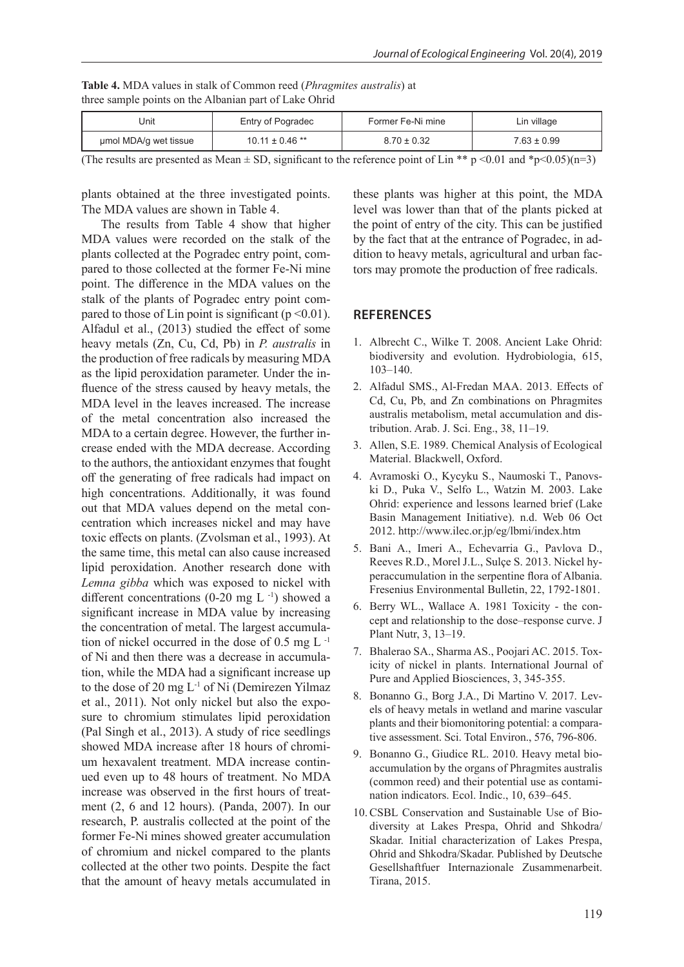|                                                        | <b>Table 4.</b> MDA values in stalk of Common reed ( <i>Phragmites australis</i> ) at |
|--------------------------------------------------------|---------------------------------------------------------------------------------------|
| three sample points on the Albanian part of Lake Ohrid |                                                                                       |

| Jnit                  | Entry of Pogradec   | Former Fe-Ni mine | ∟in village |
|-----------------------|---------------------|-------------------|-------------|
| umol MDA/g wet tissue | $10.11 \pm 0.46$ ** | $8.70 \pm 0.32$   | 7.63 ± 0.99 |

(The results are presented as Mean  $\pm$  SD, significant to the reference point of Lin \*\* p <0.01 and \*p<0.05)(n=3)

plants obtained at the three investigated points. The MDA values are shown in Table 4.

The results from Table 4 show that higher MDA values were recorded on the stalk of the plants collected at the Pogradec entry point, compared to those collected at the former Fe-Ni mine point. The difference in the MDA values on the stalk of the plants of Pogradec entry point compared to those of Lin point is significant ( $p \le 0.01$ ). Alfadul et al., (2013) studied the effect of some heavy metals (Zn, Cu, Cd, Pb) in *P. australis* in the production of free radicals by measuring MDA as the lipid peroxidation parameter. Under the influence of the stress caused by heavy metals, the MDA level in the leaves increased. The increase of the metal concentration also increased the MDA to a certain degree. However, the further increase ended with the MDA decrease. According to the authors, the antioxidant enzymes that fought off the generating of free radicals had impact on high concentrations. Additionally, it was found out that MDA values depend on the metal concentration which increases nickel and may have toxic effects on plants. (Zvolsman et al., 1993). At the same time, this metal can also cause increased lipid peroxidation. Another research done with *Lemna gibba* which was exposed to nickel with different concentrations  $(0-20 \text{ mg L}^{-1})$  showed a significant increase in MDA value by increasing the concentration of metal. The largest accumulation of nickel occurred in the dose of  $0.5 \text{ mg L}^{-1}$ of Ni and then there was a decrease in accumulation, while the MDA had a significant increase up to the dose of 20 mg L-1 of Ni (Demirezen Yilmaz et al., 2011). Not only nickel but also the exposure to chromium stimulates lipid peroxidation (Pal Singh et al., 2013). A study of rice seedlings showed MDA increase after 18 hours of chromium hexavalent treatment. MDA increase continued even up to 48 hours of treatment. No MDA increase was observed in the first hours of treatment (2, 6 and 12 hours). (Panda, 2007). In our research, P. australis collected at the point of the former Fe-Ni mines showed greater accumulation of chromium and nickel compared to the plants collected at the other two points. Despite the fact that the amount of heavy metals accumulated in

these plants was higher at this point, the MDA level was lower than that of the plants picked at the point of entry of the city. This can be justified by the fact that at the entrance of Pogradec, in addition to heavy metals, agricultural and urban factors may promote the production of free radicals.

# **REFERENCES**

- 1. Albrecht C., Wilke T. 2008. Ancient Lake Ohrid: biodiversity and evolution. Hydrobiologia, 615, 103–140.
- 2. Alfadul SMS., Al-Fredan MAA. 2013. Effects of Cd, Cu, Pb, and Zn combinations on Phragmites australis metabolism, metal accumulation and distribution. Arab. J. Sci. Eng., 38, 11–19.
- 3. Allen, S.E. 1989. Chemical Analysis of Ecological Material. Blackwell, Oxford.
- 4. Avramoski O., Kycyku S., Naumoski T., Panovski D., Puka V., Selfo L., Watzin M. 2003. Lake Ohrid: experience and lessons learned brief (Lake Basin Management Initiative). n.d. Web 06 Oct 2012. http://www.ilec.or.jp/eg/lbmi/index.htm
- 5. Bani A., Imeri A., Echevarria G., Pavlova D., Reeves R.D., Morel J.L., Sulçe S. 2013. Nickel hyperaccumulation in the serpentine flora of Albania. Fresenius Environmental Bulletin, 22, 1792-1801.
- 6. Berry WL., Wallace A. 1981 Toxicity the concept and relationship to the dose–response curve. J Plant Nutr, 3, 13–19.
- 7. Bhalerao SA., Sharma AS., Poojari AC. 2015. Toxicity of nickel in plants. International Journal of Pure and Applied Biosciences, 3, 345-355.
- 8. Bonanno G., Borg J.A., Di Martino V. 2017. Levels of heavy metals in wetland and marine vascular plants and their biomonitoring potential: a comparative assessment. Sci. Total Environ., 576, 796-806.
- 9. Bonanno G., Giudice RL. 2010. Heavy metal bioaccumulation by the organs of Phragmites australis (common reed) and their potential use as contamination indicators. Ecol. Indic., 10, 639–645.
- 10. CSBL Conservation and Sustainable Use of Biodiversity at Lakes Prespa, Ohrid and Shkodra/ Skadar. Initial characterization of Lakes Prespa, Ohrid and Shkodra/Skadar. Published by Deutsche Gesellshaftfuer Internazionale Zusammenarbeit. Tirana, 2015.